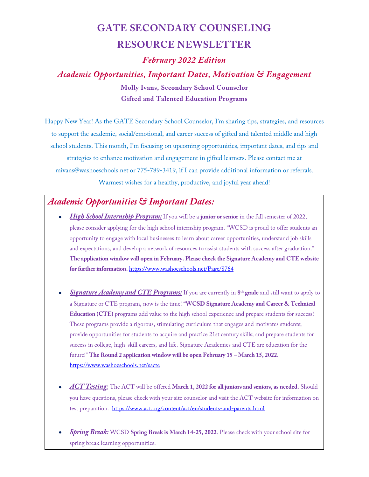## **GATE SECONDARY COUNSELING RESOURCE NEWSLETTER**

*February 2022 Edition*

*Academic Opportunities, Important Dates, Motivation & Engagement* **Molly Ivans, Secondary School Counselor Gifted and Talented Education Programs**

Happy New Year! As the GATE Secondary School Counselor, I'm sharing tips, strategies, and resources to support the academic, social/emotional, and career success of gifted and talented middle and high school students. This month, I'm focusing on upcoming opportunities, important dates, and tips and strategies to enhance motivation and engagement in gifted learners. Please contact me at [mivans@washoeschools.net](mailto:mivans@washoeschools.net) or 775-789-3419, if I can provide additional information or referrals. Warmest wishes for a healthy, productive, and joyful year ahead!

## *Academic Opportunities & Important Dates:*

- *High School Internship Program:* If you will be a **junior or senior** in the fall semester of 2022, please consider applying for the high school internship program. "WCSD is proud to offer students an opportunity to engage with local businesses to learn about career opportunities, understand job skills and expectations, and develop a network of resources to assist students with success after graduation." **The application window will open in February. Please check the Signature Academy and CTE website for further information.** <https://www.washoeschools.net/Page/8764>
- *Signature Academy and CTE Programs:* If you are currently in **8th grade** and still want to apply to a Signature or CTE program, now is the time! **"WCSD Signature Academy and Career & Technical Education (CTE)** programs add value to the high school experience and prepare students for success! These programs provide a rigorous, stimulating curriculum that engages and motivates students; provide opportunities for students to acquire and practice 21st century skills; and prepare students for success in college, high-skill careers, and life. Signature Academies and CTE are education for the future!" **The Round 2 application window will be open February 15 – March 15, 2022.**  <https://www.washoeschools.net/sacte>
- *ACT Testing:* The ACT will be offered **March 1, 2022 for all juniors and seniors, as needed.** Should you have questions, please check with your site counselor and visit the ACT website for information on test preparation. <https://www.act.org/content/act/en/students-and-parents.html>
- *Spring Break:* WCSD **Spring Break is March 14-25, 2022**. Please check with your school site for spring break learning opportunities.